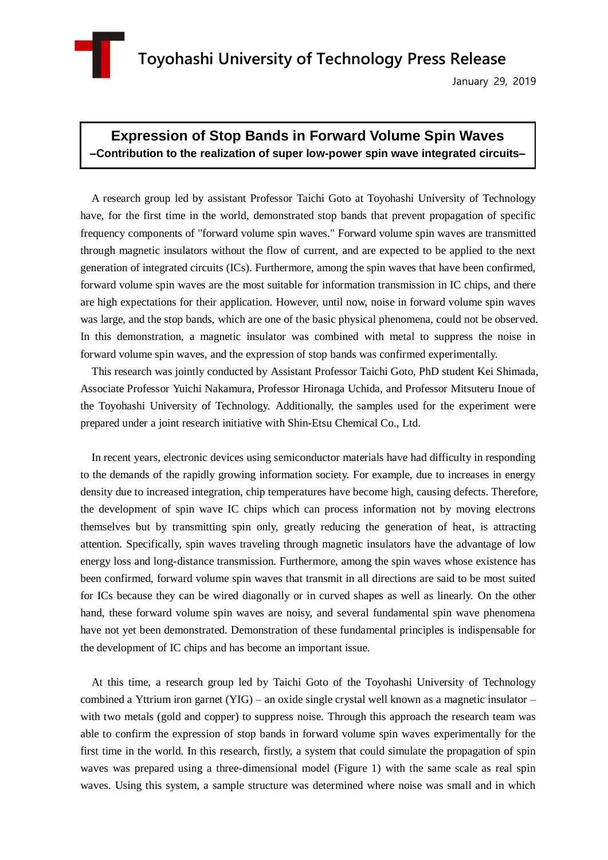

January 29, 2019

## **Expression of Stop Bands in Forward Volume Spin Waves –Contribution to the realization of super low-power spin wave integrated circuits–**

A research group led by assistant Professor Taichi Goto at Toyohashi University of Technology have, for the first time in the world, demonstrated stop bands that prevent propagation of specific frequency components of "forward volume spin waves." Forward volume spin waves are transmitted through magnetic insulators without the flow of current, and are expected to be applied to the next generation of integrated circuits (ICs). Furthermore, among the spin waves that have been confirmed, forward volume spin waves are the most suitable for information transmission in IC chips, and there are high expectations for their application. However, until now, noise in forward volume spin waves was large, and the stop bands, which are one of the basic physical phenomena, could not be observed. In this demonstration, a magnetic insulator was combined with metal to suppress the noise in forward volume spin waves, and the expression of stop bands was confirmed experimentally.

This research was jointly conducted by Assistant Professor Taichi Goto, PhD student Kei Shimada, Associate Professor Yuichi Nakamura, Professor Hironaga Uchida, and Professor Mitsuteru Inoue of the Toyohashi University of Technology. Additionally, the samples used for the experiment were prepared under a joint research initiative with Shin-Etsu Chemical Co., Ltd.

In recent years, electronic devices using semiconductor materials have had difficulty in responding to the demands of the rapidly growing information society. For example, due to increases in energy density due to increased integration, chip temperatures have become high, causing defects. Therefore, the development of spin wave IC chips which can process information not by moving electrons themselves but by transmitting spin only, greatly reducing the generation of heat, is attracting attention. Specifically, spin waves traveling through magnetic insulators have the advantage of low energy loss and long-distance transmission. Furthermore, among the spin waves whose existence has been confirmed, forward volume spin waves that transmit in all directions are said to be most suited for ICs because they can be wired diagonally or in curved shapes as well as linearly. On the other hand, these forward volume spin waves are noisy, and several fundamental spin wave phenomena have not yet been demonstrated. Demonstration of these fundamental principles is indispensable for the development of IC chips and has become an important issue.

At this time, a research group led by Taichi Goto of the Toyohashi University of Technology combined a Yttrium iron garnet (YIG) – an oxide single crystal well known as a magnetic insulator – with two metals (gold and copper) to suppress noise. Through this approach the research team was able to confirm the expression of stop bands in forward volume spin waves experimentally for the first time in the world. In this research, firstly, a system that could simulate the propagation of spin waves was prepared using a three-dimensional model (Figure 1) with the same scale as real spin waves. Using this system, a sample structure was determined where noise was small and in which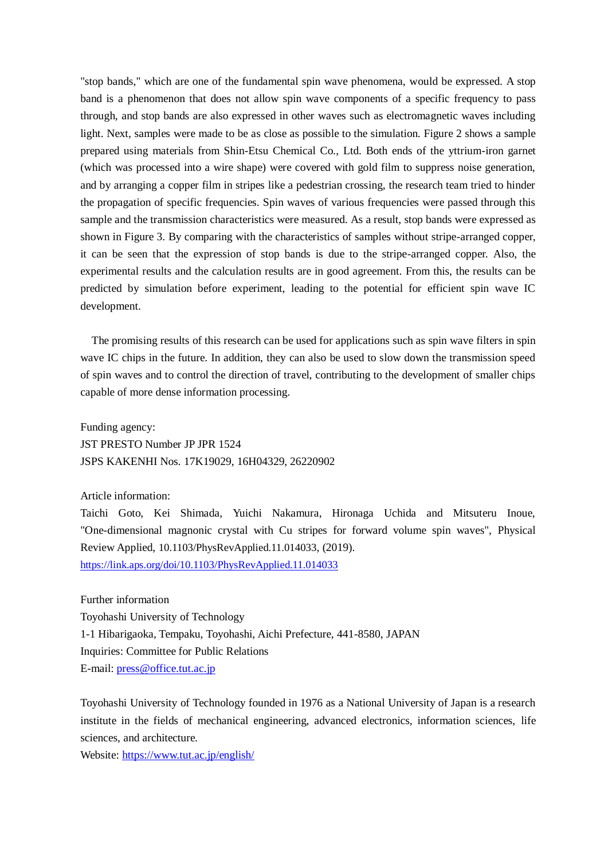"stop bands," which are one of the fundamental spin wave phenomena, would be expressed. A stop band is a phenomenon that does not allow spin wave components of a specific frequency to pass through, and stop bands are also expressed in other waves such as electromagnetic waves including light. Next, samples were made to be as close as possible to the simulation. Figure 2 shows a sample prepared using materials from Shin-Etsu Chemical Co., Ltd. Both ends of the yttrium-iron garnet (which was processed into a wire shape) were covered with gold film to suppress noise generation, and by arranging a copper film in stripes like a pedestrian crossing, the research team tried to hinder the propagation of specific frequencies. Spin waves of various frequencies were passed through this sample and the transmission characteristics were measured. As a result, stop bands were expressed as shown in Figure 3. By comparing with the characteristics of samples without stripe-arranged copper, it can be seen that the expression of stop bands is due to the stripe-arranged copper. Also, the experimental results and the calculation results are in good agreement. From this, the results can be predicted by simulation before experiment, leading to the potential for efficient spin wave IC development.

The promising results of this research can be used for applications such as spin wave filters in spin wave IC chips in the future. In addition, they can also be used to slow down the transmission speed of spin waves and to control the direction of travel, contributing to the development of smaller chips capable of more dense information processing.

Funding agency: JST PRESTO Number JP JPR 1524 JSPS KAKENHI Nos. 17K19029, 16H04329, 26220902

## Article information:

Taichi Goto, Kei Shimada, Yuichi Nakamura, Hironaga Uchida and Mitsuteru Inoue, "One-dimensional magnonic crystal with Cu stripes for forward volume spin waves", Physical Review Applied, 10.1103/PhysRevApplied.11.014033, (2019). <https://link.aps.org/doi/10.1103/PhysRevApplied.11.014033>

Further information Toyohashi University of Technology 1-1 Hibarigaoka, Tempaku, Toyohashi, Aichi Prefecture, 441-8580, JAPAN Inquiries: Committee for Public Relations E-mail:<press@office.tut.ac.jp>

Toyohashi University of Technology founded in 1976 as a National University of Japan is a research institute in the fields of mechanical engineering, advanced electronics, information sciences, life sciences, and architecture.

Website:<https://www.tut.ac.jp/english/>